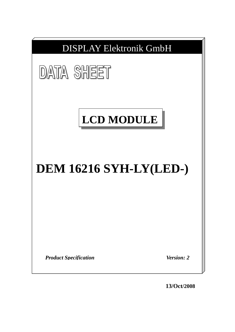

**13/Oct/2008**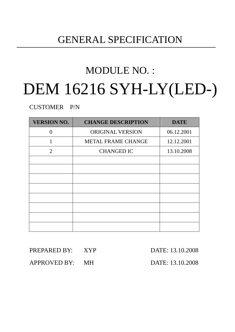# GENERAL SPECIFICATION

# MODULE NO. : DEM 16216 SYH-LY(LED-)

CUSTOMER P/N

| <b>VERSION NO.</b> | <b>CHANGE DESCRIPTION</b> | <b>DATE</b> |
|--------------------|---------------------------|-------------|
| $\Omega$           | ORIGINAL VERSION          | 06.12.2001  |
| 1                  | METAL FRAME CHANGE        | 12.12.2001  |
| 2                  | <b>CHANGED IC</b>         | 13.10.2008  |
|                    |                           |             |
|                    |                           |             |
|                    |                           |             |
|                    |                           |             |
|                    |                           |             |
|                    |                           |             |
|                    |                           |             |
|                    |                           |             |

| PREPARED BY: XYP | DATE: 13.10.2008 |
|------------------|------------------|
| APPROVED BY: MH  | DATE: 13.10.2008 |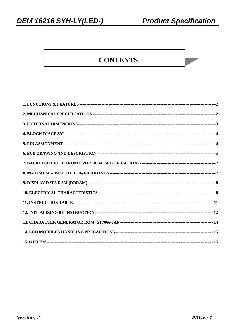# **CONTENTS**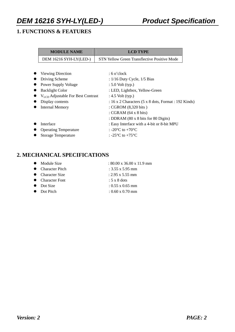### **1. FUNCTIONS & FEATURES**

| <b>MODULE NAME</b>                     | <b>LCD TYPE</b>                                             |
|----------------------------------------|-------------------------------------------------------------|
| DEM 16216 SYH-LY(LED-)                 | <b>STN Yellow Green Transflective Positive Mode</b>         |
|                                        |                                                             |
| <b>Viewing Direction</b>               | $: 6$ o'clock                                               |
| Driving Scheme                         | : $1/16$ Duty Cycle, $1/5$ Bias                             |
| <b>Power Supply Voltage</b>            | $: 5.0$ Volt (typ.)                                         |
| <b>Backlight Color</b><br>$\bullet$    | : LED, Lightbox, Yellow-Green                               |
| $V_{LCD}$ Adjustable For Best Contrast | : $4.5$ Volt (typ.)                                         |
| Display contents                       | : 16 x 2 Characters (5 x 8 dots, Format : 192 Kinds)        |
| <b>Internal Memory</b><br>$\bullet$    | : CGROM $(8,320 \text{ bits})$                              |
|                                        | : CGRAM $(64 \times 8 \text{ bits})$                        |
|                                        | : DDRAM $(80 \times 8 \text{ bits for } 80 \text{ Digits})$ |
| Interface                              | : Easy Interface with a 4-bit or 8-bit MPU                  |
| <b>Operating Temperature</b>           | : -20 $\rm{^{\circ}C}$ to +70 $\rm{^{\circ}C}$              |
| <b>Storage Temperature</b>             | : -25 $\mathrm{^{\circ}C}$ to +75 $\mathrm{^{\circ}C}$      |
|                                        |                                                             |

### **2. MECHANICAL SPECIFICATIONS**

| $\bullet$ Module Size | $: 80.00 \times 36.00 \times 11.9 \text{ mm}$ |
|-----------------------|-----------------------------------------------|
| • Character Pitch     | : $3.55 \times 5.95$ mm                       |
| • Character Size      | $: 2.95 \times 5.55$ mm                       |
| • Character Font      | $: 5 \times 8$ dots                           |
| $\bullet$ Dot Size    | $: 0.55 \times 0.65$ mm                       |
| • Dot Pitch           | $: 0.60 \times 0.70$ mm                       |
|                       |                                               |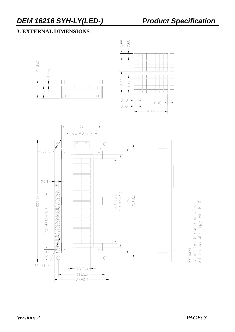### **3. EXTERNAL DIMENSIONS**





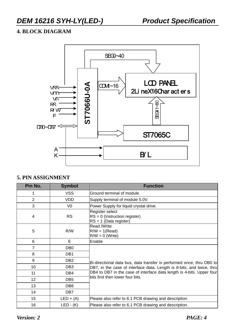### **4. BLOCK DIAGRAM**



### **5. PIN ASSIGNMENT**

| Pin No.        | <b>Symbol</b>   | <b>Function</b>                                                                |
|----------------|-----------------|--------------------------------------------------------------------------------|
| 1              | <b>VSS</b>      | Ground terminal of module.                                                     |
| $\overline{2}$ | <b>VDD</b>      | Supply terminal of module 5.0V.                                                |
| 3              | V <sub>0</sub>  | Power Supply for liquid crystal drive.                                         |
| $\overline{4}$ | <b>RS</b>       | Register select<br>$RS = 0$ (Instruction register)<br>$RS = 1$ (Data register) |
| 5              | R/W             | Read /Write<br>$R/W = 1$ (Read)<br>$R/W = 0$ (Write)                           |
| 6              | E               | Enable                                                                         |
| $\overline{7}$ | DB <sub>0</sub> |                                                                                |
| 8              | DB <sub>1</sub> |                                                                                |
| 9              | DB <sub>2</sub> | Bi-directional data bus, data transfer is performed once, thru DB0 to          |
| 10             | DB <sub>3</sub> | DB7, in the case of interface data. Length is 8-bits; and twice, thru          |
| 11             | DB4             | DB4 to DB7 in the case of interface data length is 4-bits. Upper four          |
| 12             | DB <sub>5</sub> | bits first then lower four bits.                                               |
| 13             | DB <sub>6</sub> |                                                                                |
| 14             | DB7             |                                                                                |
| 15             | $LED + (A)$     | Please also refer to 6.1 PCB drawing and description.                          |
| 16             | $LED - (K)$     | Please also refer to 6.1 PCB drawing and description.                          |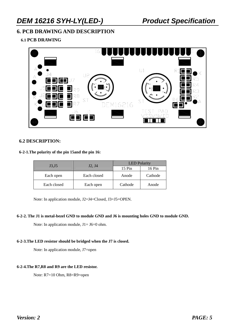### **6. PCB DRAWING AND DESCRIPTION**

**6.1 PCB DRAWING**



#### **6.2 DESCRIPTION:**

#### **6-2-1.The polarity of the pin 15and the pin 16:**

|                  | J2, J4      | <b>LED</b> Polarity |         |  |  |  |
|------------------|-------------|---------------------|---------|--|--|--|
| J3 <sub>15</sub> |             | $15 \mathrm{Pin}$   | 16 Pin  |  |  |  |
| Each open        | Each closed | Anode               | Cathode |  |  |  |
| Each closed      | Each open   | Cathode             | Anode   |  |  |  |

Note: In application module, J2=J4=Closed, J3=J5=OPEN.

#### **6-2-2. The J1 is metal-bezel GND to module GND and J6 is mounting holes GND to module GND.**

Note: In application module,  $J1=J6=0$  ohm.

#### **6-2-3.The LED resistor should be bridged when the J7 is closed.**

Note: In application module, J7=open

#### **6-2-4.The R7,R8 and R9 are the LED resistor.**

Note: R7=10 Ohm, R8=R9=open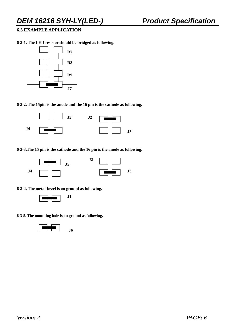### **6.3 EXAMPLE APPLICATION**

**6-3-1. The LED resistor should be bridged as following.** 



**6-3-2. The 15pin is the anode and the 16 pin is the cathode as following.** 



**6-3-3.The 15 pin is the cathode and the 16 pin is the anode as following.** 



**6-3-4. The metal-bezel is on ground as following.** 



**6-3-5. The mounting hole is on ground as following.** 

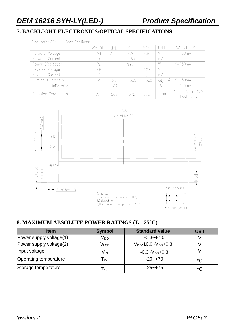### **7. BACKLIGHT ELECTRONICS/OPTICAL SPECIFICATIONS**

Electronics/Optical Specifications:

|                     | SYMBOL         | MIN. | TYP. | MAX. | UNIT     | <b>CONDITIONS</b>                           |
|---------------------|----------------|------|------|------|----------|---------------------------------------------|
| Forward Voltage     | V f            | 3.6  | 4.2  | 4.6  |          | $If = 150mA$                                |
| Forward Current     |                |      | 150  |      | mA       |                                             |
| Power Dissipation   | P <sub>d</sub> |      | 0.63 |      | W        | $If = 150mA$                                |
| Reverse Voltage     | VR             |      |      | 10.0 |          |                                             |
| Reverse Current     | R              |      |      | 1.1  | mA       |                                             |
| Luminous Intensity  |                | 250  | 350  | 500  | $cd/m^2$ | $If = 150mA$                                |
| Luminous Uniformity |                | 70   |      |      | $\%$     | $If = 150mA$                                |
| Emission Wavelength | $\lambda P$    | 569  | 572  | 575  | nm       | $If = 10mA$ $Ta = 25^{\circ}C$<br>Each chip |



### **8. MAXIMUM ABSOLUTE POWER RATINGS (Ta=25°C)**

| <b>Item</b>             | <b>Symbol</b>               | <b>Standard value</b>         | Unit        |
|-------------------------|-----------------------------|-------------------------------|-------------|
| Power supply voltage(1) | V <sub>DD</sub>             | $-0.3 - +7.0$                 |             |
| Power supply voltage(2) | V <sub>LCD</sub>            | $V_{DD}$ -10.0~ $V_{DD}$ +0.3 |             |
| Input voltage           | V <sub>IN</sub>             | $-0.3 - V_{DD} + 0.3$         |             |
| Operating temperature   | $\mathsf{T}_{\mathsf{opt}}$ | $-20 - +70$                   | $^{\circ}C$ |
| Storage temperature     | $\mathsf{T}_{\textsf{stg}}$ | $-25 - +75$                   | $^{\circ}C$ |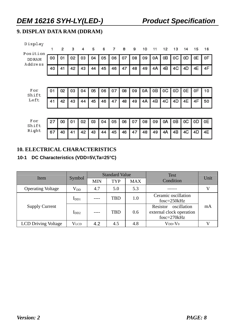### **9. DISPLAY DATA RAM (DDRAM)**

| Display<br>Position | 1  | 2  | з  | 4  | 5  | 6  | 7  | 8  | 9  | 10 | 11 | 12 | 13 | 14 | 15 | 16 |
|---------------------|----|----|----|----|----|----|----|----|----|----|----|----|----|----|----|----|
| <b>DDRAM</b>        | 00 | 01 | 02 | 03 | 04 | 05 | 06 | 07 | 08 | 09 | 0A | OΒ | 0C | 0D | 0E | 0F |
| Address             | 40 | 41 | 42 | 43 | 44 | 45 | 46 | 47 | 48 | 49 | 4Α | 4B | 4C | 4D | 4Ε | 4F |
|                     |    |    |    |    |    |    |    |    |    |    |    |    |    |    |    |    |
| For<br>Shift        | 01 | 02 | 03 | 04 | 05 | 06 | 07 | 08 | 09 | 0A | oВ | 0C | ΟD | 0E | 0F | 10 |
| Left                | 41 | 42 | 43 | 44 | 45 | 46 | 47 | 48 | 49 | 4A | 4B | 4C | 4D | 4E | 4F | 50 |
|                     |    |    |    |    |    |    |    |    |    |    |    |    |    |    |    |    |
| For<br>Shift        | 27 | 00 | 01 | 02 | 03 | 04 | 05 | 06 | 07 | 08 | 09 | 0A | oВ | 0C | 0D | 0Ε |
| Right               | 67 | 40 | 41 | 42 | 43 | 44 | 45 | 46 | 47 | 48 | 49 | 4A | 4B | 4C | 4D | 4E |

### **10. ELECTRICAL CHARACTERISTICS**

### **10-1 DC Characteristics (VDD=5V,Ta=25°C)**

| Item                       |                           |            | <b>Standard Value</b> |            | <b>Test</b>                                                          | Unit |
|----------------------------|---------------------------|------------|-----------------------|------------|----------------------------------------------------------------------|------|
|                            | Symbol                    | <b>MIN</b> | <b>TYP</b>            | <b>MAX</b> | Condition                                                            |      |
| <b>Operating Voltage</b>   | $\rm V_{DD}$              | 4.7        | 5.0                   | 5.3        |                                                                      |      |
|                            | $\mathbf{I}_{\text{DD1}}$ |            | TBD                   | 1.0        | Ceramic oscillation<br>$f$ osc=250 $k$ Hz                            |      |
| <b>Supply Current</b>      | 1 <sub>DD2</sub>          | $---$      | <b>TBD</b>            | 0.6        | oscillation<br>Resistor<br>external clock operation<br>$fose=270kHz$ | mA   |
| <b>LCD Driving Voltage</b> | <b>VLCD</b>               | 4.2        | 4.5                   | 4.8        | $V_{DD}$ - $V_0$                                                     |      |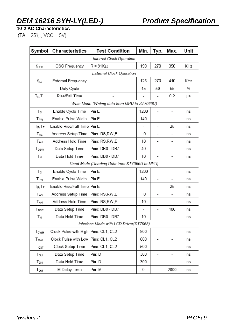**10-2 AC Characteristics** 

 $(TA = 25^{\circ}C, \text{VCC} = 5V)$ 

| Symbol                      | Characteristics                      | <b>Test Condition</b>                         | Min. | Typ.                     | Max.                     | Unit |  |  |  |  |
|-----------------------------|--------------------------------------|-----------------------------------------------|------|--------------------------|--------------------------|------|--|--|--|--|
|                             |                                      | Internal Clock Operation                      |      |                          |                          |      |  |  |  |  |
| $f_{\rm OSC}$               | OSC Frequency                        | $R = 91K\Omega$                               | 190  | 270                      | 350                      | KHz  |  |  |  |  |
|                             | External Clock Operation             |                                               |      |                          |                          |      |  |  |  |  |
| f <sub>EX</sub>             | External Frequency                   |                                               | 125  | 270                      | 410                      | KHz  |  |  |  |  |
|                             | Duty Cycle                           |                                               | 45   | 50                       | 55                       | %    |  |  |  |  |
| $T_R$ , $T_F$               | Rise/Fall Time                       |                                               |      |                          | 0.2                      | μs   |  |  |  |  |
|                             |                                      | Write Mode (Writing data from MPU to ST7066U) |      |                          |                          |      |  |  |  |  |
| Tc                          | Enable Cycle Time                    | Pin E                                         | 1200 | $\overline{a}$           | -                        | ns   |  |  |  |  |
| T <sub>PW</sub>             | Enable Pulse Width                   | Pin E                                         | 140  | $\overline{a}$           |                          | ns   |  |  |  |  |
| $T_R$ , $T_F$               | Enable Rise/Fall Time                | Pin E                                         |      |                          | 25                       | ns   |  |  |  |  |
| TAS                         | Address Setup Time                   | Pins: RS, RW, E                               | 0    |                          |                          | ns   |  |  |  |  |
| TAH                         | Address Hold Time                    | Pins: RS,RW,E                                 | 10   | -                        | $\overline{\phantom{0}}$ | ns   |  |  |  |  |
| T <sub>DSW</sub>            | Data Setup Time                      | Pins: DB0 - DB7                               | 40   | ۰                        | -                        | ns   |  |  |  |  |
| Tн                          | Data Hold Time                       | Pins: DB0 - DB7                               | 10   | -                        | -                        | ns   |  |  |  |  |
|                             |                                      | Read Mode (Reading Data from ST7066U to MPU)  |      |                          |                          |      |  |  |  |  |
| Тc                          | Enable Cycle Time                    | Pin E                                         | 1200 |                          |                          | ns   |  |  |  |  |
| T <sub>PW</sub>             | Enable Pulse Width                   | Pin E                                         | 140  |                          |                          | ns   |  |  |  |  |
| $T_R$ , $T_F$               | Enable Rise/Fall Time                | Pin E                                         | -    | ٠                        | 25                       | ns   |  |  |  |  |
| $T_{AS}$                    | Address Setup Time                   | Pins: RS, RW, E                               | 0    | -                        | $\overline{\phantom{a}}$ | ns   |  |  |  |  |
| TAH                         | Address Hold Time                    | Pins: RS, RW, E                               | 10   | -                        | -                        | ns   |  |  |  |  |
| T <sub>DDR</sub>            | Data Setup Time                      | Pins: DB0 - DB7                               |      |                          | 100                      | ns   |  |  |  |  |
| Τн                          | Data Hold Time                       | Pins: DB0 - DB7                               | 10   |                          |                          | ns   |  |  |  |  |
|                             |                                      | Interface Mode with LCD Driver(ST7065)        |      |                          |                          |      |  |  |  |  |
| $T_{\mathsf{CWH}}$          | Clock Pulse with High Pins: CL1, CL2 |                                               | 800  | $\overline{\phantom{a}}$ | -                        | ns   |  |  |  |  |
| $\mathsf{T}_{\mathsf{CWL}}$ | Clock Pulse with Low                 | Pins: CL1, CL2                                | 800  | -                        | -                        | ns   |  |  |  |  |
| $T_{\texttt{CST}}$          | Clock Setup Time                     | Pins: CL1, CL2                                | 500  | -                        | -                        | ns   |  |  |  |  |
| T <sub>su</sub>             | Data Setup Time                      | Pin: D                                        | 300  | -                        | -                        | ns   |  |  |  |  |
| Т <sub>рн</sub>             | Data Hold Time                       | Pin: D                                        | 300  | ٠                        | -                        | ns   |  |  |  |  |
| Т <sub>DM</sub>             | M Delay Time                         | Pin: M                                        | 0    | -                        | 2000                     | ns   |  |  |  |  |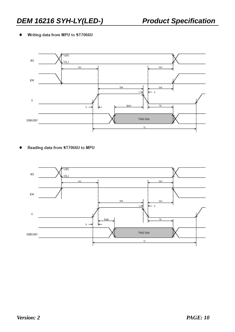#### Writing data from MPU to ST7066U ٠



Reading data from ST7066U to MPU

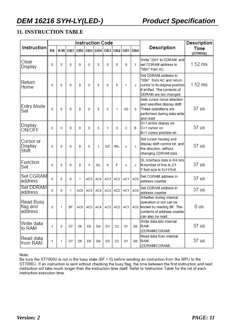### **11. INSTRUCTION TABLE**

|                                   |             |   |           |                 | <b>Instruction Code</b> |         |     |                 | Description |         |                                                                                                                                              |                  |
|-----------------------------------|-------------|---|-----------|-----------------|-------------------------|---------|-----|-----------------|-------------|---------|----------------------------------------------------------------------------------------------------------------------------------------------|------------------|
| <b>Instruction</b>                | <b>RS</b>   |   | $R/W$ DB7 | DB <sub>6</sub> |                         | DB5 DB4 |     | DB3 DB2         |             | DB1 DB0 | Description                                                                                                                                  | Time<br>(270KHz) |
| Clear<br>Display                  | 0           | 0 | 0         | 0               | 0                       | 0       | 0   | 0               | 0           | 1       | Write "20H" to DDRAM. and<br>set DDRAM address to<br>"00H" from AC                                                                           | $1.52$ ms        |
| Return<br>Home                    | 0           | 0 | $\Omega$  | 0               | 0                       | 0       | 0   | 0               | 1           | x       | Set DDRAM address to<br>"00H" from AC and return<br>cursor to its original position<br>if shifted. The contents of<br>DDRAM are not changed. | $1.52$ ms        |
| Entry Mode<br>Set                 | $\mathbf 0$ | 0 | 0         | 0               | 0                       | 0       | 0   | 1               | <b>I/D</b>  | S       | Sets cursor move direction<br>and specifies display shift.<br>These operations are<br>performed during data write<br>and read.               | 37 us            |
| Display<br>ON/OFF                 | 0           | 0 | 0         | 0               | 0                       | 0       | 1   | D               | C           | В       | D=1:entire display on<br>C=1:cursor on<br>B=1:cursor position on                                                                             | 37 us            |
| Cursor or<br>Display<br>Shift     | 0           | 0 | 0         | 0               | 0                       | 1       | S/C | R/L             | х           | X       | Set cursor moving and<br>display shift control bit, and<br>the direction, without<br>changing DDRAM data.                                    | 37 us            |
| Function<br>Set                   | 0           | 0 | 0         | 0               | 1                       | DL      | Ν   | F               | х           | x       | DL:interface data is 8/4 bits<br>N:number of line is 2/1<br>F:font size is 5x11/5x8                                                          | 37 us            |
| Set CGRAM<br>address              | 0           | 0 | 0         | 1               | AC5                     | AC4     | AC3 | AC <sub>2</sub> | AC1         | AC0     | Set CGRAM address in<br>address counter                                                                                                      | 37 us            |
| Set DDRAM<br>address              | 0           | 0 | 1         | AC6             | AC5                     | AC4     | AC3 | AC <sub>2</sub> | AC1         | AC0     | Set DDRAM address in<br>address counter                                                                                                      | 37 us            |
| Read Busy<br>∣flag and<br>address | 0           | 1 | <b>BF</b> | AC6             | AC5                     | AC4     | AC3 | AC <sub>2</sub> | AC1         | AC0     | Whether during internal<br>operation or not can be<br>known by reading BF. The<br>contents of address counter<br>can also be read.           | 0 us             |
| lWrite data<br>lto RAM            | 1           | 0 | D7        | D6              | D5                      | D4      | D3  | D2              | D1          | D0      | Write data into internal<br>RAM<br>(DDRAM/CGRAM)                                                                                             | 37 us            |
| Read data<br>from RAM             | 1           | 1 | D7        | D6              | D5                      | D4      | D3  | D2              | D1          | D0      | Read data from internal<br>RAM<br>(DDRAM/CGRAM)                                                                                              | 37 us            |

Note:

Be sure the ST7066U is not in the busy state (BF = 0) before sending an instruction from the MPU to the ST7066U. If an instruction is sent without checking the busy flag, the time between the first instruction and next instruction will take much longer than the instruction time itself. Refer to Instruction Table for the list instruction execution time.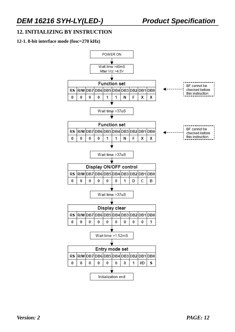### **12. INITIALIZING BY INSTRUCTION**

#### **12-1. 8-bit interface mode (fosc=270 kHz)**

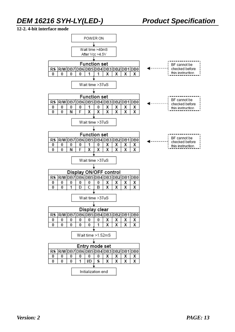#### **12-2. 4-bit interface mode**

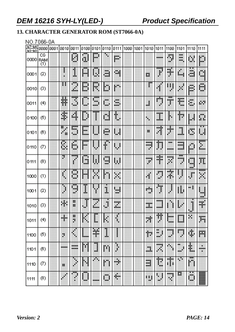### **13. CHARACTER GENERATOR ROM (ST7066-0A)**

### NO.7066-0A

| $b7 - b4$<br>$b3-b0$ | 0000             | 0001 | 0010  | 0011    | 0100                  | 0101   | 0110    | 0111    | 1000 | 1001 | 1010              | 1011               | 1100               | 1101                    | 1110             | 1111             |
|----------------------|------------------|------|-------|---------|-----------------------|--------|---------|---------|------|------|-------------------|--------------------|--------------------|-------------------------|------------------|------------------|
| 0000                 | СG<br>RAM<br>(1) |      |       | H       | U                     | 臘      |         | W.      |      |      |                   |                    | H                  | mente di<br>XXX<br>W.   | ü.               | D                |
| 0001                 | (2)              |      |       | I       | 關                     | U      | H.      | œ.      |      |      | B                 | ł                  | H.                 | 脚脚                      | ä                | m<br><b>Wide</b> |
| 0010                 | (3)              |      | н     | <br>灩   | B                     | R      | D       | pm      |      |      | m                 | Æ                  | 期                  | H                       | B)               | ш<br>w           |
| 0011                 | (4)              |      | ŧ     | П<br>∰. | ш                     | <br>L. | U.      | ü.<br>. |      |      | H                 | alian y<br>g       | <br>m              | Ħ                       | ă,               | pу.              |
| 0100                 | (5)              |      | ¢     | 躣       | ₿                     | ш      | d       | t       |      |      | ×.                | ı                  | H                  | Ħ                       | ш                | Ö.               |
| 0101                 | (6)              |      | E     | 颐<br>щh | 凲<br>ш.               | ₫      | m.<br>m | ш       |      |      | н                 | 1966)<br>ä,        | ۱                  | m<br>뺴                  | D                | 贃                |
| 0110                 | Ø                |      | S,    | Ġ       | <br>bus.              |        | ŧ       | 剛       |      |      | --<br>49.90<br>U. | Þ<br>ij            | w.<br>.            | .<br>---<br>an a        | H                | E                |
| 0111                 | (8)              |      | ē     | j       | <b>SHI</b><br>ш       | Ħ      | W<br>ш  | W       |      |      | œ<br>P.           | đ,<br>÷            | Ħ                  | <b>BBB</b><br>ones<br>ð | ang p<br>ш<br>w. | Ŧ.               |
| 1000                 | (1)              |      | ŧ     | U       | ш                     | BF.    | m       | 翢       |      |      | ¢                 | ŋ                  | H.                 | 闀<br>¢                  | ₽                | <br>W            |
| 1001                 | (2)              |      | ₽     | щ<br>۰  | I                     |        | Ĩ,      | щ<br>w. |      |      | ada.<br>×к        | Đņ.<br>J.          | J.                 | Ш                       | m.               | щ<br>w.          |
| 1010                 | (3)              |      | H.    | 闎<br>ш  | $\hat{\mathbf{\phi}}$ | H      | Ë       | m<br>W. |      |      | <br>W.            | <br>.              |                    | ₿                       | J                | H                |
| 1011                 | (4)              |      | ۰     | 韻<br>÷  |                       |        |         |         |      |      | 蠅                 | 辯                  | <br>.              | mag<br>                 | ш                | Ŧ.               |
| 1100                 | (5)              |      | ×     | 4       | Ш                     | P.     | I       |         |      |      | Ŧ.                | œ<br>H<br>ж<br>. . | <br>œ              | .<br>×                  | ij,              | 翢                |
| 1101                 | (6)              |      | 10000 | <br>--  | Ŷ.                    | J      | ш       | Ñ       |      |      | ä.                | <b>Hours</b><br>繝  | ×<br>٩             | ш<br>Ŧ<br>œ             | H                | ×<br>--<br>×     |
| 1110                 | Ø                |      | 服     | ٩<br>¢  | M                     | ×      | m       | ۳       |      |      | m<br>--           | n                  | ,,,,,<br>I.<br>ł   | ۰<br>Ÿ.                 | <br>ņп,          |                  |
| 1111                 | (8)              |      |       | í       | m.                    |        | 角,<br>٩ | M       |      |      | 鄦                 | V                  | <b>HOOKS</b><br>H. | E.                      | Ü.               | W                |